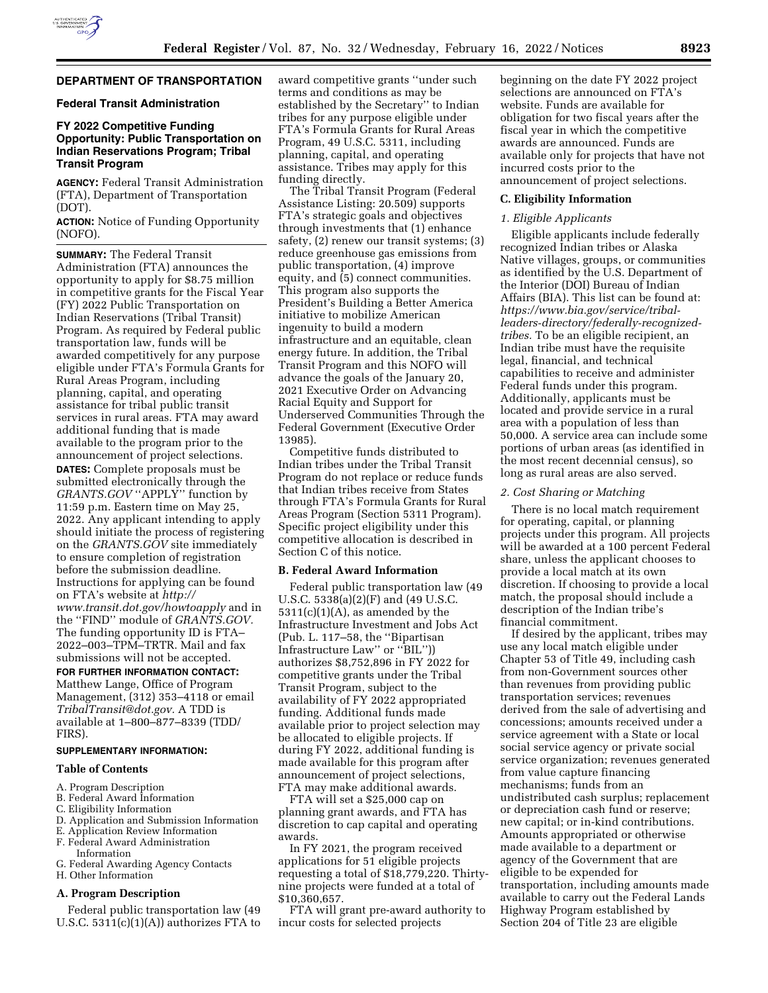

## **DEPARTMENT OF TRANSPORTATION**

## **Federal Transit Administration**

## **FY 2022 Competitive Funding Opportunity: Public Transportation on Indian Reservations Program; Tribal Transit Program**

**AGENCY:** Federal Transit Administration (FTA), Department of Transportation (DOT).

**ACTION:** Notice of Funding Opportunity (NOFO).

**SUMMARY:** The Federal Transit Administration (FTA) announces the opportunity to apply for \$8.75 million in competitive grants for the Fiscal Year (FY) 2022 Public Transportation on Indian Reservations (Tribal Transit) Program. As required by Federal public transportation law, funds will be awarded competitively for any purpose eligible under FTA's Formula Grants for Rural Areas Program, including planning, capital, and operating assistance for tribal public transit services in rural areas. FTA may award additional funding that is made available to the program prior to the announcement of project selections. **DATES:** Complete proposals must be submitted electronically through the *GRANTS.GOV* ''APPLY'' function by 11:59 p.m. Eastern time on May 25, 2022. Any applicant intending to apply should initiate the process of registering on the *GRANTS.GOV* site immediately to ensure completion of registration before the submission deadline. Instructions for applying can be found on FTA's website at *[http://](http://www.transit.dot.gov/howtoapply) [www.transit.dot.gov/howtoapply](http://www.transit.dot.gov/howtoapply)* and in the ''FIND'' module of *GRANTS.GOV.*  The funding opportunity ID is FTA– 2022–003–TPM–TRTR. Mail and fax submissions will not be accepted.

### **FOR FURTHER INFORMATION CONTACT:**

Matthew Lange, Office of Program Management, (312) 353–4118 or email *[TribalTransit@dot.gov.](mailto:TribalTransit@dot.gov)* A TDD is available at 1–800–877–8339 (TDD/ FIRS).

## **SUPPLEMENTARY INFORMATION:**

#### **Table of Contents**

- A. Program Description
- B. Federal Award Information
- C. Eligibility Information
- D. Application and Submission Information
- E. Application Review Information
- F. Federal Award Administration Information
- G. Federal Awarding Agency Contacts
- H. Other Information

#### **A. Program Description**

Federal public transportation law (49 U.S.C.  $5311(c)(1)(A)$  authorizes FTA to award competitive grants ''under such terms and conditions as may be established by the Secretary'' to Indian tribes for any purpose eligible under FTA's Formula Grants for Rural Areas Program, 49 U.S.C. 5311, including planning, capital, and operating assistance. Tribes may apply for this funding directly.

The Tribal Transit Program (Federal Assistance Listing: 20.509) supports FTA's strategic goals and objectives through investments that (1) enhance safety, (2) renew our transit systems; (3) reduce greenhouse gas emissions from public transportation, (4) improve equity, and (5) connect communities. This program also supports the President's Building a Better America initiative to mobilize American ingenuity to build a modern infrastructure and an equitable, clean energy future. In addition, the Tribal Transit Program and this NOFO will advance the goals of the January 20, 2021 Executive Order on Advancing Racial Equity and Support for Underserved Communities Through the Federal Government (Executive Order 13985).

Competitive funds distributed to Indian tribes under the Tribal Transit Program do not replace or reduce funds that Indian tribes receive from States through FTA's Formula Grants for Rural Areas Program (Section 5311 Program). Specific project eligibility under this competitive allocation is described in Section C of this notice.

#### **B. Federal Award Information**

Federal public transportation law (49 U.S.C. 5338(a)(2)(F) and (49 U.S.C.  $5311(c)(1)(A)$ , as amended by the Infrastructure Investment and Jobs Act (Pub. L. 117–58, the ''Bipartisan Infrastructure Law'' or ''BIL'')) authorizes \$8,752,896 in FY 2022 for competitive grants under the Tribal Transit Program, subject to the availability of FY 2022 appropriated funding. Additional funds made available prior to project selection may be allocated to eligible projects. If during FY 2022, additional funding is made available for this program after announcement of project selections, FTA may make additional awards.

FTA will set a \$25,000 cap on planning grant awards, and FTA has discretion to cap capital and operating awards.

In FY 2021, the program received applications for 51 eligible projects requesting a total of \$18,779,220. Thirtynine projects were funded at a total of \$10,360,657.

FTA will grant pre-award authority to incur costs for selected projects

beginning on the date FY 2022 project selections are announced on FTA's website. Funds are available for obligation for two fiscal years after the fiscal year in which the competitive awards are announced. Funds are available only for projects that have not incurred costs prior to the announcement of project selections.

#### **C. Eligibility Information**

### *1. Eligible Applicants*

Eligible applicants include federally recognized Indian tribes or Alaska Native villages, groups, or communities as identified by the U.S. Department of the Interior (DOI) Bureau of Indian Affairs (BIA). This list can be found at: *[https://www.bia.gov/service/tribal](https://www.bia.gov/service/tribal-leaders-directory/federally-recognized-tribes)[leaders-directory/federally-recognized](https://www.bia.gov/service/tribal-leaders-directory/federally-recognized-tribes)[tribes.](https://www.bia.gov/service/tribal-leaders-directory/federally-recognized-tribes)* To be an eligible recipient, an Indian tribe must have the requisite legal, financial, and technical capabilities to receive and administer Federal funds under this program. Additionally, applicants must be located and provide service in a rural area with a population of less than 50,000. A service area can include some portions of urban areas (as identified in the most recent decennial census), so long as rural areas are also served.

#### *2. Cost Sharing or Matching*

There is no local match requirement for operating, capital, or planning projects under this program. All projects will be awarded at a 100 percent Federal share, unless the applicant chooses to provide a local match at its own discretion. If choosing to provide a local match, the proposal should include a description of the Indian tribe's financial commitment.

If desired by the applicant, tribes may use any local match eligible under Chapter 53 of Title 49, including cash from non-Government sources other than revenues from providing public transportation services; revenues derived from the sale of advertising and concessions; amounts received under a service agreement with a State or local social service agency or private social service organization; revenues generated from value capture financing mechanisms; funds from an undistributed cash surplus; replacement or depreciation cash fund or reserve; new capital; or in-kind contributions. Amounts appropriated or otherwise made available to a department or agency of the Government that are eligible to be expended for transportation, including amounts made available to carry out the Federal Lands Highway Program established by Section 204 of Title 23 are eligible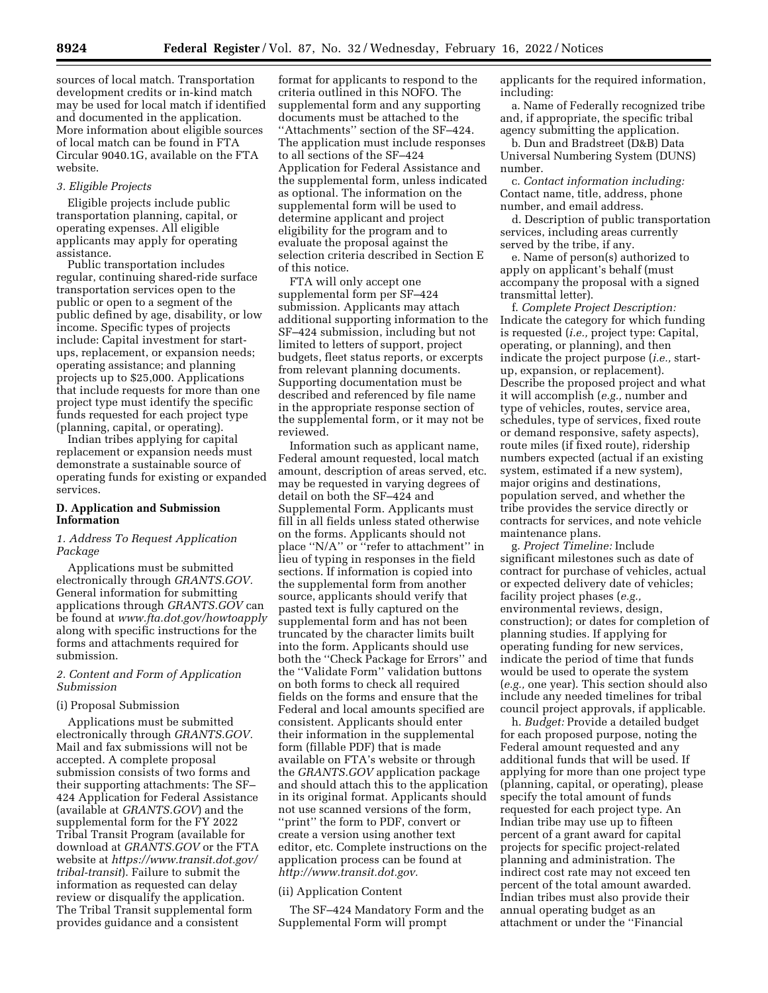sources of local match. Transportation development credits or in-kind match may be used for local match if identified and documented in the application. More information about eligible sources of local match can be found in FTA Circular 9040.1G, available on the FTA website.

## *3. Eligible Projects*

Eligible projects include public transportation planning, capital, or operating expenses. All eligible applicants may apply for operating assistance.

Public transportation includes regular, continuing shared-ride surface transportation services open to the public or open to a segment of the public defined by age, disability, or low income. Specific types of projects include: Capital investment for startups, replacement, or expansion needs; operating assistance; and planning projects up to \$25,000. Applications that include requests for more than one project type must identify the specific funds requested for each project type (planning, capital, or operating).

Indian tribes applying for capital replacement or expansion needs must demonstrate a sustainable source of operating funds for existing or expanded services.

## **D. Application and Submission Information**

## *1. Address To Request Application Package*

Applications must be submitted electronically through *GRANTS.GOV.*  General information for submitting applications through *GRANTS.GOV* can be found at *[www.fta.dot.gov/howtoapply](http://www.fta.dot.gov/howtoapply)*  along with specific instructions for the forms and attachments required for submission.

## *2. Content and Form of Application Submission*

## (i) Proposal Submission

Applications must be submitted electronically through *GRANTS.GOV.*  Mail and fax submissions will not be accepted. A complete proposal submission consists of two forms and their supporting attachments: The SF– 424 Application for Federal Assistance (available at *GRANTS.GOV*) and the supplemental form for the FY 2022 Tribal Transit Program (available for download at *GRANTS.GOV* or the FTA website at *[https://www.transit.dot.gov/](https://www.transit.dot.gov/tribal-transit) [tribal-transit](https://www.transit.dot.gov/tribal-transit)*). Failure to submit the information as requested can delay review or disqualify the application. The Tribal Transit supplemental form provides guidance and a consistent

format for applicants to respond to the criteria outlined in this NOFO. The supplemental form and any supporting documents must be attached to the ''Attachments'' section of the SF–424. The application must include responses to all sections of the SF–424 Application for Federal Assistance and the supplemental form, unless indicated as optional. The information on the supplemental form will be used to determine applicant and project eligibility for the program and to evaluate the proposal against the selection criteria described in Section E of this notice.

FTA will only accept one supplemental form per SF–424 submission. Applicants may attach additional supporting information to the SF–424 submission, including but not limited to letters of support, project budgets, fleet status reports, or excerpts from relevant planning documents. Supporting documentation must be described and referenced by file name in the appropriate response section of the supplemental form, or it may not be reviewed.

Information such as applicant name, Federal amount requested, local match amount, description of areas served, etc. may be requested in varying degrees of detail on both the SF–424 and Supplemental Form. Applicants must fill in all fields unless stated otherwise on the forms. Applicants should not place ''N/A'' or ''refer to attachment'' in lieu of typing in responses in the field sections. If information is copied into the supplemental form from another source, applicants should verify that pasted text is fully captured on the supplemental form and has not been truncated by the character limits built into the form. Applicants should use both the ''Check Package for Errors'' and the ''Validate Form'' validation buttons on both forms to check all required fields on the forms and ensure that the Federal and local amounts specified are consistent. Applicants should enter their information in the supplemental form (fillable PDF) that is made available on FTA's website or through the *GRANTS.GOV* application package and should attach this to the application in its original format. Applicants should not use scanned versions of the form, ''print'' the form to PDF, convert or create a version using another text editor, etc. Complete instructions on the application process can be found at *[http://www.transit.dot.gov.](http://www.transit.dot.gov)* 

## (ii) Application Content

The SF–424 Mandatory Form and the Supplemental Form will prompt

applicants for the required information, including:

a. Name of Federally recognized tribe and, if appropriate, the specific tribal agency submitting the application.

b. Dun and Bradstreet (D&B) Data Universal Numbering System (DUNS) number.

c. *Contact information including:*  Contact name, title, address, phone number, and email address.

d. Description of public transportation services, including areas currently served by the tribe, if any.

e. Name of person(s) authorized to apply on applicant's behalf (must accompany the proposal with a signed transmittal letter).

f. *Complete Project Description:*  Indicate the category for which funding is requested (*i.e.,* project type: Capital, operating, or planning), and then indicate the project purpose (*i.e.,* startup, expansion, or replacement). Describe the proposed project and what it will accomplish (*e.g.,* number and type of vehicles, routes, service area, schedules, type of services, fixed route or demand responsive, safety aspects), route miles (if fixed route), ridership numbers expected (actual if an existing system, estimated if a new system), major origins and destinations, population served, and whether the tribe provides the service directly or contracts for services, and note vehicle maintenance plans.

g. *Project Timeline:* Include significant milestones such as date of contract for purchase of vehicles, actual or expected delivery date of vehicles; facility project phases (*e.g.,*  environmental reviews, design, construction); or dates for completion of planning studies. If applying for operating funding for new services, indicate the period of time that funds would be used to operate the system (*e.g.,* one year). This section should also include any needed timelines for tribal council project approvals, if applicable.

h. *Budget:* Provide a detailed budget for each proposed purpose, noting the Federal amount requested and any additional funds that will be used. If applying for more than one project type (planning, capital, or operating), please specify the total amount of funds requested for each project type. An Indian tribe may use up to fifteen percent of a grant award for capital projects for specific project-related planning and administration. The indirect cost rate may not exceed ten percent of the total amount awarded. Indian tribes must also provide their annual operating budget as an attachment or under the ''Financial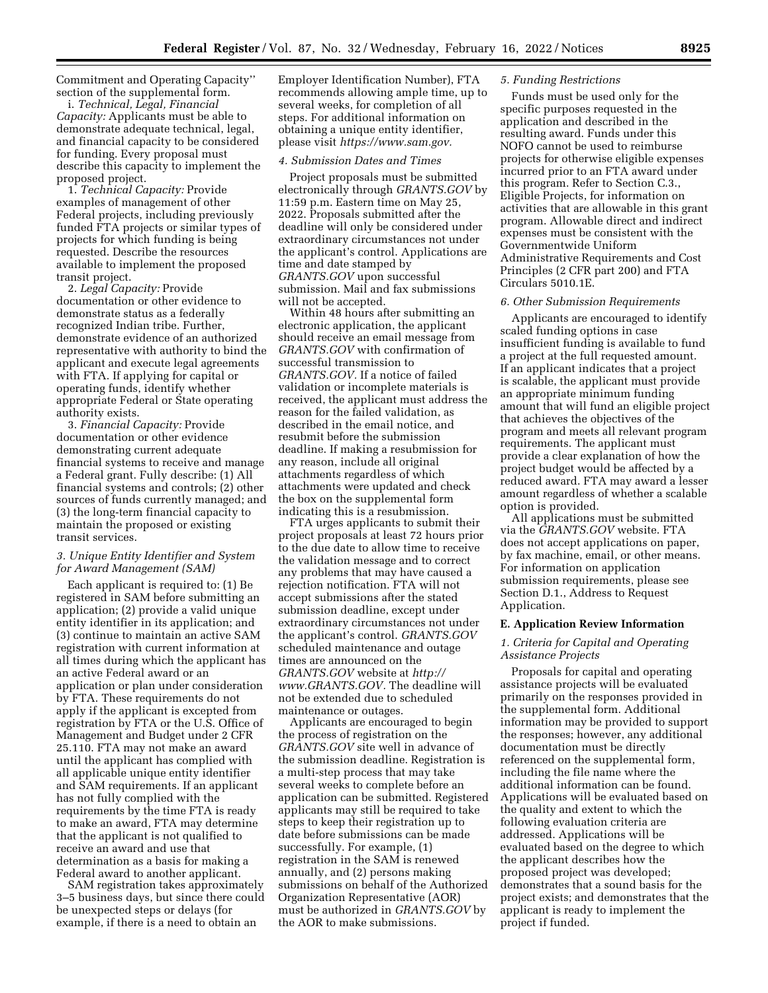Commitment and Operating Capacity'' section of the supplemental form.

i. *Technical, Legal, Financial Capacity:* Applicants must be able to demonstrate adequate technical, legal, and financial capacity to be considered for funding. Every proposal must describe this capacity to implement the proposed project.

1. *Technical Capacity:* Provide examples of management of other Federal projects, including previously funded FTA projects or similar types of projects for which funding is being requested. Describe the resources available to implement the proposed transit project.

2. *Legal Capacity:* Provide documentation or other evidence to demonstrate status as a federally recognized Indian tribe. Further, demonstrate evidence of an authorized representative with authority to bind the applicant and execute legal agreements with FTA. If applying for capital or operating funds, identify whether appropriate Federal or State operating authority exists.

3. *Financial Capacity:* Provide documentation or other evidence demonstrating current adequate financial systems to receive and manage a Federal grant. Fully describe: (1) All financial systems and controls; (2) other sources of funds currently managed; and (3) the long-term financial capacity to maintain the proposed or existing transit services.

## *3. Unique Entity Identifier and System for Award Management (SAM)*

Each applicant is required to: (1) Be registered in SAM before submitting an application; (2) provide a valid unique entity identifier in its application; and (3) continue to maintain an active SAM registration with current information at all times during which the applicant has an active Federal award or an application or plan under consideration by FTA. These requirements do not apply if the applicant is excepted from registration by FTA or the U.S. Office of Management and Budget under 2 CFR 25.110. FTA may not make an award until the applicant has complied with all applicable unique entity identifier and SAM requirements. If an applicant has not fully complied with the requirements by the time FTA is ready to make an award, FTA may determine that the applicant is not qualified to receive an award and use that determination as a basis for making a Federal award to another applicant.

SAM registration takes approximately 3–5 business days, but since there could be unexpected steps or delays (for example, if there is a need to obtain an

Employer Identification Number), FTA recommends allowing ample time, up to several weeks, for completion of all steps. For additional information on obtaining a unique entity identifier, please visit *[https://www.sam.gov.](https://www.sam.gov)* 

#### *4. Submission Dates and Times*

Project proposals must be submitted electronically through *GRANTS.GOV* by 11:59 p.m. Eastern time on May 25, 2022. Proposals submitted after the deadline will only be considered under extraordinary circumstances not under the applicant's control. Applications are time and date stamped by *GRANTS.GOV* upon successful submission. Mail and fax submissions will not be accepted.

Within 48 hours after submitting an electronic application, the applicant should receive an email message from *GRANTS.GOV* with confirmation of successful transmission to *GRANTS.GOV.* If a notice of failed validation or incomplete materials is received, the applicant must address the reason for the failed validation, as described in the email notice, and resubmit before the submission deadline. If making a resubmission for any reason, include all original attachments regardless of which attachments were updated and check the box on the supplemental form indicating this is a resubmission.

FTA urges applicants to submit their project proposals at least 72 hours prior to the due date to allow time to receive the validation message and to correct any problems that may have caused a rejection notification. FTA will not accept submissions after the stated submission deadline, except under extraordinary circumstances not under the applicant's control. *GRANTS.GOV*  scheduled maintenance and outage times are announced on the *GRANTS.GOV* website at *[http://](http://www.GRANTS.GOV) [www.GRANTS.GOV.](http://www.GRANTS.GOV)* The deadline will not be extended due to scheduled maintenance or outages.

Applicants are encouraged to begin the process of registration on the *GRANTS.GOV* site well in advance of the submission deadline. Registration is a multi-step process that may take several weeks to complete before an application can be submitted. Registered applicants may still be required to take steps to keep their registration up to date before submissions can be made successfully. For example, (1) registration in the SAM is renewed annually, and (2) persons making submissions on behalf of the Authorized Organization Representative (AOR) must be authorized in *GRANTS.GOV* by the AOR to make submissions.

#### *5. Funding Restrictions*

Funds must be used only for the specific purposes requested in the application and described in the resulting award. Funds under this NOFO cannot be used to reimburse projects for otherwise eligible expenses incurred prior to an FTA award under this program. Refer to Section C.3., Eligible Projects, for information on activities that are allowable in this grant program. Allowable direct and indirect expenses must be consistent with the Governmentwide Uniform Administrative Requirements and Cost Principles (2 CFR part 200) and FTA Circulars 5010.1E.

#### *6. Other Submission Requirements*

Applicants are encouraged to identify scaled funding options in case insufficient funding is available to fund a project at the full requested amount. If an applicant indicates that a project is scalable, the applicant must provide an appropriate minimum funding amount that will fund an eligible project that achieves the objectives of the program and meets all relevant program requirements. The applicant must provide a clear explanation of how the project budget would be affected by a reduced award. FTA may award a lesser amount regardless of whether a scalable option is provided.

All applications must be submitted via the *GRANTS.GOV* website. FTA does not accept applications on paper, by fax machine, email, or other means. For information on application submission requirements, please see Section D.1., Address to Request Application.

#### **E. Application Review Information**

### *1. Criteria for Capital and Operating Assistance Projects*

Proposals for capital and operating assistance projects will be evaluated primarily on the responses provided in the supplemental form. Additional information may be provided to support the responses; however, any additional documentation must be directly referenced on the supplemental form, including the file name where the additional information can be found. Applications will be evaluated based on the quality and extent to which the following evaluation criteria are addressed. Applications will be evaluated based on the degree to which the applicant describes how the proposed project was developed; demonstrates that a sound basis for the project exists; and demonstrates that the applicant is ready to implement the project if funded.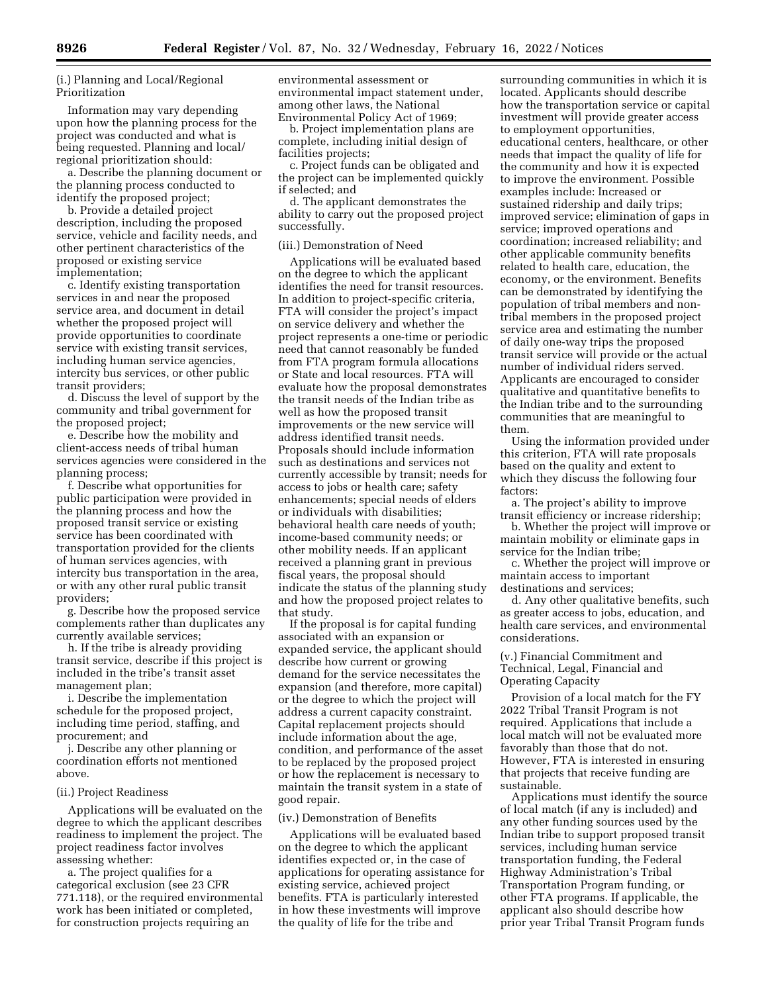(i.) Planning and Local/Regional Prioritization

Information may vary depending upon how the planning process for the project was conducted and what is being requested. Planning and local/ regional prioritization should:

a. Describe the planning document or the planning process conducted to identify the proposed project;

b. Provide a detailed project description, including the proposed service, vehicle and facility needs, and other pertinent characteristics of the proposed or existing service implementation;

c. Identify existing transportation services in and near the proposed service area, and document in detail whether the proposed project will provide opportunities to coordinate service with existing transit services, including human service agencies, intercity bus services, or other public transit providers;

d. Discuss the level of support by the community and tribal government for the proposed project;

e. Describe how the mobility and client-access needs of tribal human services agencies were considered in the planning process;

f. Describe what opportunities for public participation were provided in the planning process and how the proposed transit service or existing service has been coordinated with transportation provided for the clients of human services agencies, with intercity bus transportation in the area, or with any other rural public transit providers;

g. Describe how the proposed service complements rather than duplicates any currently available services;

h. If the tribe is already providing transit service, describe if this project is included in the tribe's transit asset management plan;

i. Describe the implementation schedule for the proposed project, including time period, staffing, and procurement; and

j. Describe any other planning or coordination efforts not mentioned above.

### (ii.) Project Readiness

Applications will be evaluated on the degree to which the applicant describes readiness to implement the project. The project readiness factor involves assessing whether:

a. The project qualifies for a categorical exclusion (see 23 CFR 771.118), or the required environmental work has been initiated or completed, for construction projects requiring an

environmental assessment or environmental impact statement under, among other laws, the National Environmental Policy Act of 1969;

b. Project implementation plans are complete, including initial design of facilities projects;

c. Project funds can be obligated and the project can be implemented quickly if selected; and

d. The applicant demonstrates the ability to carry out the proposed project successfully.

## (iii.) Demonstration of Need

Applications will be evaluated based on the degree to which the applicant identifies the need for transit resources. In addition to project-specific criteria, FTA will consider the project's impact on service delivery and whether the project represents a one-time or periodic need that cannot reasonably be funded from FTA program formula allocations or State and local resources. FTA will evaluate how the proposal demonstrates the transit needs of the Indian tribe as well as how the proposed transit improvements or the new service will address identified transit needs. Proposals should include information such as destinations and services not currently accessible by transit; needs for access to jobs or health care; safety enhancements; special needs of elders or individuals with disabilities; behavioral health care needs of youth; income-based community needs; or other mobility needs. If an applicant received a planning grant in previous fiscal years, the proposal should indicate the status of the planning study and how the proposed project relates to that study.

If the proposal is for capital funding associated with an expansion or expanded service, the applicant should describe how current or growing demand for the service necessitates the expansion (and therefore, more capital) or the degree to which the project will address a current capacity constraint. Capital replacement projects should include information about the age, condition, and performance of the asset to be replaced by the proposed project or how the replacement is necessary to maintain the transit system in a state of good repair.

#### (iv.) Demonstration of Benefits

Applications will be evaluated based on the degree to which the applicant identifies expected or, in the case of applications for operating assistance for existing service, achieved project benefits. FTA is particularly interested in how these investments will improve the quality of life for the tribe and

surrounding communities in which it is located. Applicants should describe how the transportation service or capital investment will provide greater access to employment opportunities, educational centers, healthcare, or other needs that impact the quality of life for the community and how it is expected to improve the environment. Possible examples include: Increased or sustained ridership and daily trips; improved service; elimination of gaps in service; improved operations and coordination; increased reliability; and other applicable community benefits related to health care, education, the economy, or the environment. Benefits can be demonstrated by identifying the population of tribal members and nontribal members in the proposed project service area and estimating the number of daily one-way trips the proposed transit service will provide or the actual number of individual riders served. Applicants are encouraged to consider qualitative and quantitative benefits to the Indian tribe and to the surrounding communities that are meaningful to them.

Using the information provided under this criterion, FTA will rate proposals based on the quality and extent to which they discuss the following four factors:

a. The project's ability to improve transit efficiency or increase ridership;

b. Whether the project will improve or maintain mobility or eliminate gaps in service for the Indian tribe;

c. Whether the project will improve or maintain access to important destinations and services;

d. Any other qualitative benefits, such as greater access to jobs, education, and health care services, and environmental considerations.

## (v.) Financial Commitment and Technical, Legal, Financial and Operating Capacity

Provision of a local match for the FY 2022 Tribal Transit Program is not required. Applications that include a local match will not be evaluated more favorably than those that do not. However, FTA is interested in ensuring that projects that receive funding are sustainable.

Applications must identify the source of local match (if any is included) and any other funding sources used by the Indian tribe to support proposed transit services, including human service transportation funding, the Federal Highway Administration's Tribal Transportation Program funding, or other FTA programs. If applicable, the applicant also should describe how prior year Tribal Transit Program funds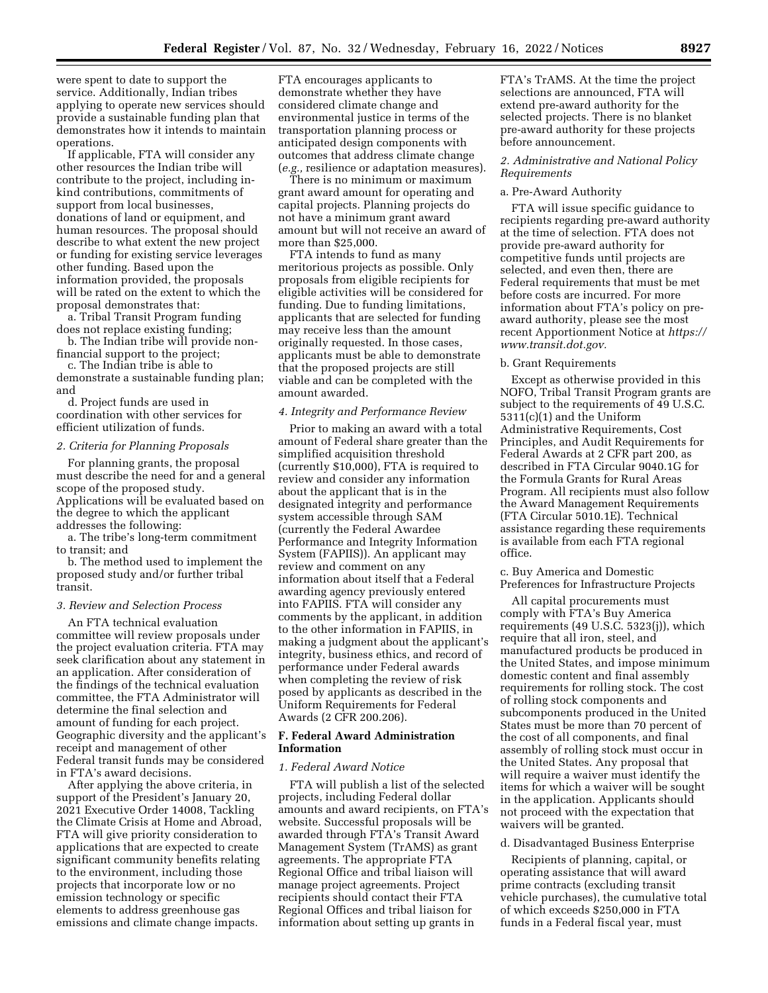were spent to date to support the service. Additionally, Indian tribes applying to operate new services should provide a sustainable funding plan that demonstrates how it intends to maintain operations.

If applicable, FTA will consider any other resources the Indian tribe will contribute to the project, including inkind contributions, commitments of support from local businesses, donations of land or equipment, and human resources. The proposal should describe to what extent the new project or funding for existing service leverages other funding. Based upon the information provided, the proposals will be rated on the extent to which the proposal demonstrates that:

a. Tribal Transit Program funding does not replace existing funding; b. The Indian tribe will provide non-

financial support to the project;

c. The Indian tribe is able to demonstrate a sustainable funding plan; and

d. Project funds are used in coordination with other services for efficient utilization of funds.

#### *2. Criteria for Planning Proposals*

For planning grants, the proposal must describe the need for and a general scope of the proposed study. Applications will be evaluated based on the degree to which the applicant addresses the following:

a. The tribe's long-term commitment to transit; and

b. The method used to implement the proposed study and/or further tribal transit.

#### *3. Review and Selection Process*

An FTA technical evaluation committee will review proposals under the project evaluation criteria. FTA may seek clarification about any statement in an application. After consideration of the findings of the technical evaluation committee, the FTA Administrator will determine the final selection and amount of funding for each project. Geographic diversity and the applicant's receipt and management of other Federal transit funds may be considered in FTA's award decisions.

After applying the above criteria, in support of the President's January 20, 2021 Executive Order 14008, Tackling the Climate Crisis at Home and Abroad, FTA will give priority consideration to applications that are expected to create significant community benefits relating to the environment, including those projects that incorporate low or no emission technology or specific elements to address greenhouse gas emissions and climate change impacts.

FTA encourages applicants to demonstrate whether they have considered climate change and environmental justice in terms of the transportation planning process or anticipated design components with outcomes that address climate change (*e.g.,* resilience or adaptation measures).

There is no minimum or maximum grant award amount for operating and capital projects. Planning projects do not have a minimum grant award amount but will not receive an award of more than \$25,000.

FTA intends to fund as many meritorious projects as possible. Only proposals from eligible recipients for eligible activities will be considered for funding. Due to funding limitations, applicants that are selected for funding may receive less than the amount originally requested. In those cases, applicants must be able to demonstrate that the proposed projects are still viable and can be completed with the amount awarded.

#### *4. Integrity and Performance Review*

Prior to making an award with a total amount of Federal share greater than the simplified acquisition threshold (currently \$10,000), FTA is required to review and consider any information about the applicant that is in the designated integrity and performance system accessible through SAM (currently the Federal Awardee Performance and Integrity Information System (FAPIIS)). An applicant may review and comment on any information about itself that a Federal awarding agency previously entered into FAPIIS. FTA will consider any comments by the applicant, in addition to the other information in FAPIIS, in making a judgment about the applicant's integrity, business ethics, and record of performance under Federal awards when completing the review of risk posed by applicants as described in the Uniform Requirements for Federal Awards (2 CFR 200.206).

## **F. Federal Award Administration Information**

#### *1. Federal Award Notice*

FTA will publish a list of the selected projects, including Federal dollar amounts and award recipients, on FTA's website. Successful proposals will be awarded through FTA's Transit Award Management System (TrAMS) as grant agreements. The appropriate FTA Regional Office and tribal liaison will manage project agreements. Project recipients should contact their FTA Regional Offices and tribal liaison for information about setting up grants in

FTA's TrAMS. At the time the project selections are announced, FTA will extend pre-award authority for the selected projects. There is no blanket pre-award authority for these projects before announcement.

## *2. Administrative and National Policy Requirements*

#### a. Pre-Award Authority

FTA will issue specific guidance to recipients regarding pre-award authority at the time of selection. FTA does not provide pre-award authority for competitive funds until projects are selected, and even then, there are Federal requirements that must be met before costs are incurred. For more information about FTA's policy on preaward authority, please see the most recent Apportionment Notice at *[https://](https://www.transit.dot.gov) [www.transit.dot.gov.](https://www.transit.dot.gov)* 

#### b. Grant Requirements

Except as otherwise provided in this NOFO, Tribal Transit Program grants are subject to the requirements of 49 U.S.C. 5311(c)(1) and the Uniform Administrative Requirements, Cost Principles, and Audit Requirements for Federal Awards at 2 CFR part 200, as described in FTA Circular 9040.1G for the Formula Grants for Rural Areas Program. All recipients must also follow the Award Management Requirements (FTA Circular 5010.1E). Technical assistance regarding these requirements is available from each FTA regional office.

## c. Buy America and Domestic Preferences for Infrastructure Projects

All capital procurements must comply with FTA's Buy America requirements (49 U.S.C. 5323(j)), which require that all iron, steel, and manufactured products be produced in the United States, and impose minimum domestic content and final assembly requirements for rolling stock. The cost of rolling stock components and subcomponents produced in the United States must be more than 70 percent of the cost of all components, and final assembly of rolling stock must occur in the United States. Any proposal that will require a waiver must identify the items for which a waiver will be sought in the application. Applicants should not proceed with the expectation that waivers will be granted.

## d. Disadvantaged Business Enterprise

Recipients of planning, capital, or operating assistance that will award prime contracts (excluding transit vehicle purchases), the cumulative total of which exceeds \$250,000 in FTA funds in a Federal fiscal year, must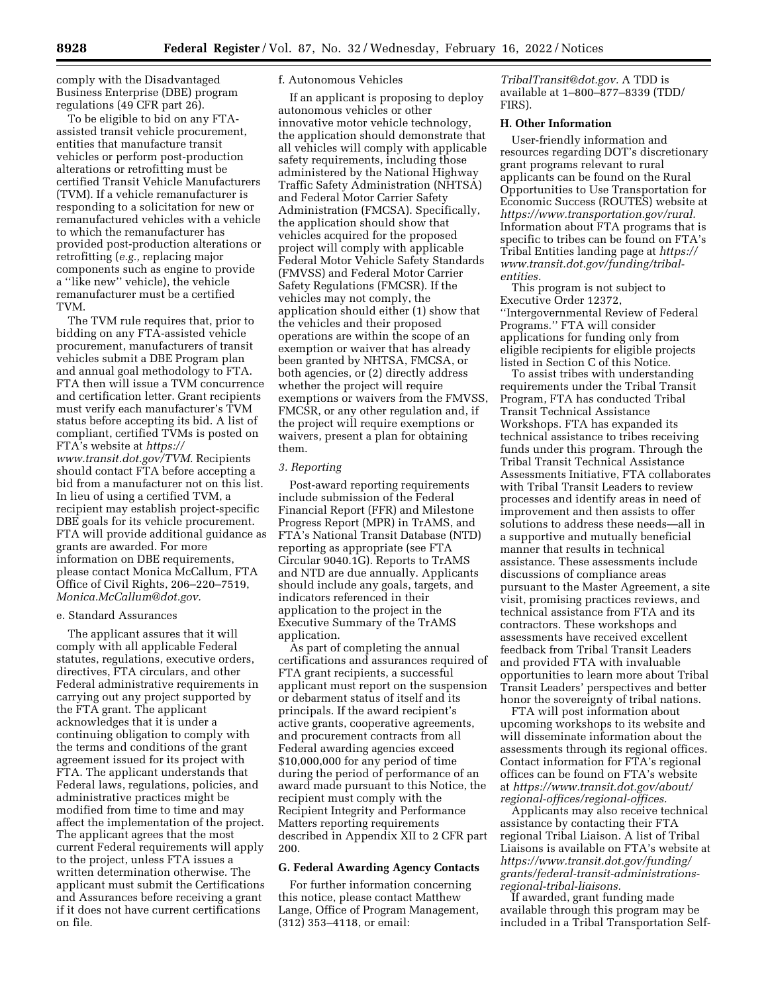comply with the Disadvantaged Business Enterprise (DBE) program regulations (49 CFR part 26).

To be eligible to bid on any FTAassisted transit vehicle procurement, entities that manufacture transit vehicles or perform post-production alterations or retrofitting must be certified Transit Vehicle Manufacturers (TVM). If a vehicle remanufacturer is responding to a solicitation for new or remanufactured vehicles with a vehicle to which the remanufacturer has provided post-production alterations or retrofitting (*e.g.,* replacing major components such as engine to provide a ''like new'' vehicle), the vehicle remanufacturer must be a certified TVM.

The TVM rule requires that, prior to bidding on any FTA-assisted vehicle procurement, manufacturers of transit vehicles submit a DBE Program plan and annual goal methodology to FTA. FTA then will issue a TVM concurrence and certification letter. Grant recipients must verify each manufacturer's TVM status before accepting its bid. A list of compliant, certified TVMs is posted on FTA's website at *[https://](https://www.transit.dot.gov/TVM) [www.transit.dot.gov/TVM.](https://www.transit.dot.gov/TVM)* Recipients should contact FTA before accepting a bid from a manufacturer not on this list. In lieu of using a certified TVM, a recipient may establish project-specific DBE goals for its vehicle procurement. FTA will provide additional guidance as grants are awarded. For more information on DBE requirements, please contact Monica McCallum, FTA Office of Civil Rights, 206–220–7519, *[Monica.McCallum@dot.gov.](mailto:Monica.McCallum@dot.gov)* 

## e. Standard Assurances

The applicant assures that it will comply with all applicable Federal statutes, regulations, executive orders, directives, FTA circulars, and other Federal administrative requirements in carrying out any project supported by the FTA grant. The applicant acknowledges that it is under a continuing obligation to comply with the terms and conditions of the grant agreement issued for its project with FTA. The applicant understands that Federal laws, regulations, policies, and administrative practices might be modified from time to time and may affect the implementation of the project. The applicant agrees that the most current Federal requirements will apply to the project, unless FTA issues a written determination otherwise. The applicant must submit the Certifications and Assurances before receiving a grant if it does not have current certifications on file.

## f. Autonomous Vehicles

If an applicant is proposing to deploy autonomous vehicles or other innovative motor vehicle technology, the application should demonstrate that all vehicles will comply with applicable safety requirements, including those administered by the National Highway Traffic Safety Administration (NHTSA) and Federal Motor Carrier Safety Administration (FMCSA). Specifically, the application should show that vehicles acquired for the proposed project will comply with applicable Federal Motor Vehicle Safety Standards (FMVSS) and Federal Motor Carrier Safety Regulations (FMCSR). If the vehicles may not comply, the application should either (1) show that the vehicles and their proposed operations are within the scope of an exemption or waiver that has already been granted by NHTSA, FMCSA, or both agencies, or (2) directly address whether the project will require exemptions or waivers from the FMVSS, FMCSR, or any other regulation and, if the project will require exemptions or waivers, present a plan for obtaining them.

### *3. Reporting*

Post-award reporting requirements include submission of the Federal Financial Report (FFR) and Milestone Progress Report (MPR) in TrAMS, and FTA's National Transit Database (NTD) reporting as appropriate (see FTA Circular 9040.1G). Reports to TrAMS and NTD are due annually. Applicants should include any goals, targets, and indicators referenced in their application to the project in the Executive Summary of the TrAMS application.

As part of completing the annual certifications and assurances required of FTA grant recipients, a successful applicant must report on the suspension or debarment status of itself and its principals. If the award recipient's active grants, cooperative agreements, and procurement contracts from all Federal awarding agencies exceed \$10,000,000 for any period of time during the period of performance of an award made pursuant to this Notice, the recipient must comply with the Recipient Integrity and Performance Matters reporting requirements described in Appendix XII to 2 CFR part 200.

## **G. Federal Awarding Agency Contacts**

For further information concerning this notice, please contact Matthew Lange, Office of Program Management, (312) 353–4118, or email:

*[TribalTransit@dot.gov.](mailto:TribalTransit@dot.gov)* A TDD is available at 1–800–877–8339 (TDD/ FIRS).

## **H. Other Information**

User-friendly information and resources regarding DOT's discretionary grant programs relevant to rural applicants can be found on the Rural Opportunities to Use Transportation for Economic Success (ROUTES) website at *[https://www.transportation.gov/rural.](https://www.transportation.gov/rural)*  Information about FTA programs that is specific to tribes can be found on FTA's Tribal Entities landing page at *[https://](https://www.transit.dot.gov/funding/tribal-entities) [www.transit.dot.gov/funding/tribal](https://www.transit.dot.gov/funding/tribal-entities)[entities.](https://www.transit.dot.gov/funding/tribal-entities)* 

This program is not subject to Executive Order 12372, ''Intergovernmental Review of Federal Programs.'' FTA will consider applications for funding only from eligible recipients for eligible projects listed in Section C of this Notice.

To assist tribes with understanding requirements under the Tribal Transit Program, FTA has conducted Tribal Transit Technical Assistance Workshops. FTA has expanded its technical assistance to tribes receiving funds under this program. Through the Tribal Transit Technical Assistance Assessments Initiative, FTA collaborates with Tribal Transit Leaders to review processes and identify areas in need of improvement and then assists to offer solutions to address these needs—all in a supportive and mutually beneficial manner that results in technical assistance. These assessments include discussions of compliance areas pursuant to the Master Agreement, a site visit, promising practices reviews, and technical assistance from FTA and its contractors. These workshops and assessments have received excellent feedback from Tribal Transit Leaders and provided FTA with invaluable opportunities to learn more about Tribal Transit Leaders' perspectives and better honor the sovereignty of tribal nations.

FTA will post information about upcoming workshops to its website and will disseminate information about the assessments through its regional offices. Contact information for FTA's regional offices can be found on FTA's website at *[https://www.transit.dot.gov/about/](https://www.transit.dot.gov/about/regional-offices/regional-offices) [regional-offices/regional-offices.](https://www.transit.dot.gov/about/regional-offices/regional-offices)* 

Applicants may also receive technical assistance by contacting their FTA regional Tribal Liaison. A list of Tribal Liaisons is available on FTA's website at *[https://www.transit.dot.gov/funding/](https://www.transit.dot.gov/funding/grants/federal-transit-administrations-regional-tribal-liaisons) [grants/federal-transit-administrations](https://www.transit.dot.gov/funding/grants/federal-transit-administrations-regional-tribal-liaisons)[regional-tribal-liaisons.](https://www.transit.dot.gov/funding/grants/federal-transit-administrations-regional-tribal-liaisons)* 

If awarded, grant funding made available through this program may be included in a Tribal Transportation Self